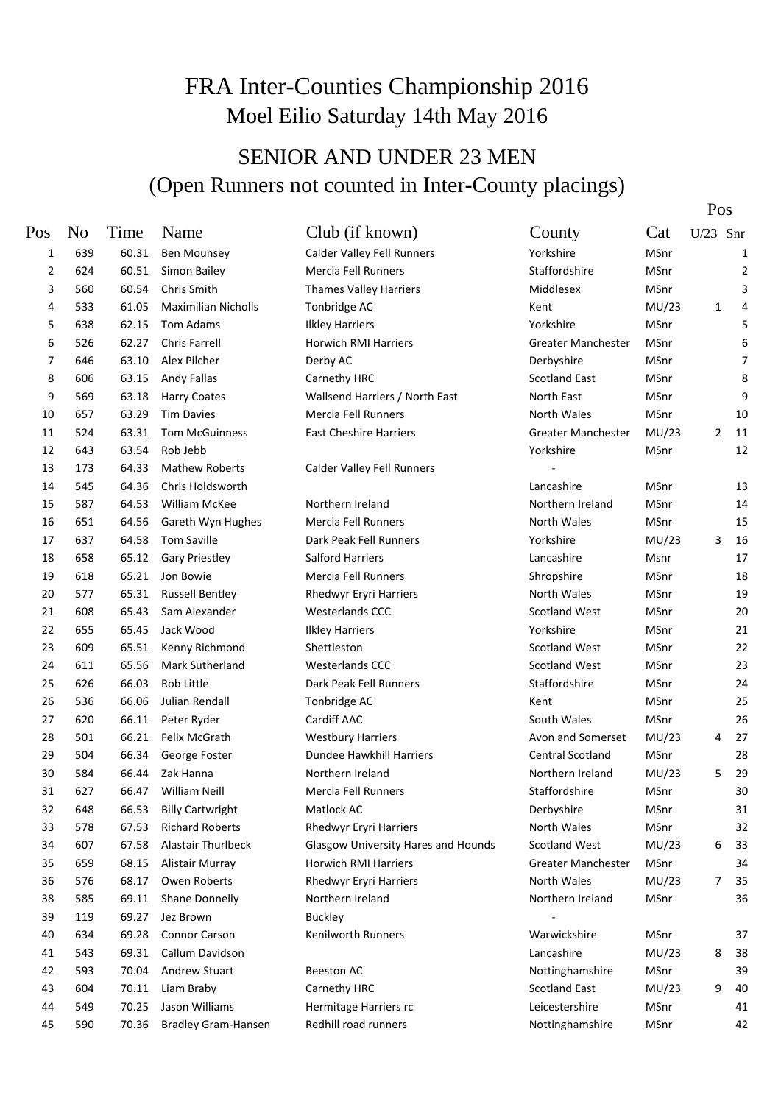### FRA Inter-Counties Championship 2016 Moel Eilio Saturday 14th May 2016

#### SENIOR AND UNDER 23 MEN (Open Runners not counted in Inter-County placings)

Pos

| Pos | N <sub>0</sub> | Time  | Name                       | Club (if known)                            | County                    | Cat   | U/23 | Snr            |
|-----|----------------|-------|----------------------------|--------------------------------------------|---------------------------|-------|------|----------------|
| 1   | 639            | 60.31 | <b>Ben Mounsey</b>         | <b>Calder Valley Fell Runners</b>          | Yorkshire                 | MSnr  |      | $\mathbf{1}$   |
| 2   | 624            | 60.51 | Simon Bailey               | Mercia Fell Runners                        | Staffordshire             | MSnr  |      | $\overline{2}$ |
| 3   | 560            | 60.54 | Chris Smith                | <b>Thames Valley Harriers</b>              | Middlesex                 | MSnr  |      | 3              |
| 4   | 533            | 61.05 | <b>Maximilian Nicholls</b> | Tonbridge AC                               | Kent                      | MU/23 | 1    | 4              |
| 5   | 638            | 62.15 | Tom Adams                  | <b>Ilkley Harriers</b>                     | Yorkshire                 | MSnr  |      | 5              |
| 6   | 526            | 62.27 | Chris Farrell              | <b>Horwich RMI Harriers</b>                | <b>Greater Manchester</b> | MSnr  |      | 6              |
| 7   | 646            | 63.10 | Alex Pilcher               | Derby AC                                   | Derbyshire                | MSnr  |      | 7              |
| 8   | 606            | 63.15 | <b>Andy Fallas</b>         | Carnethy HRC                               | <b>Scotland East</b>      | MSnr  |      | 8              |
| 9   | 569            | 63.18 | <b>Harry Coates</b>        | Wallsend Harriers / North East             | North East                | MSnr  |      | 9              |
| 10  | 657            | 63.29 | <b>Tim Davies</b>          | Mercia Fell Runners                        | North Wales               | MSnr  |      | 10             |
| 11  | 524            | 63.31 | <b>Tom McGuinness</b>      | East Cheshire Harriers                     | Greater Manchester        | MU/23 | 2    | 11             |
| 12  | 643            | 63.54 | Rob Jebb                   |                                            | Yorkshire                 | MSnr  |      | 12             |
| 13  | 173            | 64.33 | <b>Mathew Roberts</b>      | Calder Valley Fell Runners                 |                           |       |      |                |
| 14  | 545            | 64.36 | Chris Holdsworth           |                                            | Lancashire                | MSnr  |      | 13             |
| 15  | 587            | 64.53 | <b>William McKee</b>       | Northern Ireland                           | Northern Ireland          | MSnr  |      | 14             |
| 16  | 651            | 64.56 | Gareth Wyn Hughes          | <b>Mercia Fell Runners</b>                 | North Wales               | MSnr  |      | 15             |
| 17  | 637            | 64.58 | <b>Tom Saville</b>         | Dark Peak Fell Runners                     | Yorkshire                 | MU/23 | 3    | 16             |
| 18  | 658            | 65.12 | <b>Gary Priestley</b>      | <b>Salford Harriers</b>                    | Lancashire                | Msnr  |      | 17             |
| 19  | 618            | 65.21 | Jon Bowie                  | <b>Mercia Fell Runners</b>                 | Shropshire                | MSnr  |      | 18             |
| 20  | 577            | 65.31 | <b>Russell Bentley</b>     | <b>Rhedwyr Eryri Harriers</b>              | North Wales               | MSnr  |      | 19             |
| 21  | 608            | 65.43 | Sam Alexander              | <b>Westerlands CCC</b>                     | <b>Scotland West</b>      | MSnr  |      | 20             |
| 22  | 655            | 65.45 | Jack Wood                  | <b>Ilkley Harriers</b>                     | Yorkshire                 | MSnr  |      | 21             |
| 23  | 609            | 65.51 | Kenny Richmond             | Shettleston                                | <b>Scotland West</b>      | MSnr  |      | 22             |
| 24  | 611            | 65.56 | <b>Mark Sutherland</b>     | <b>Westerlands CCC</b>                     | <b>Scotland West</b>      | MSnr  |      | 23             |
| 25  | 626            | 66.03 | Rob Little                 | Dark Peak Fell Runners                     | Staffordshire             | MSnr  |      | 24             |
| 26  | 536            | 66.06 | Julian Rendall             | Tonbridge AC                               | Kent                      | MSnr  |      | 25             |
| 27  | 620            | 66.11 | Peter Ryder                | Cardiff AAC                                | South Wales               | MSnr  |      | 26             |
| 28  | 501            | 66.21 | Felix McGrath              | <b>Westbury Harriers</b>                   | Avon and Somerset         | MU/23 | 4    | 27             |
| 29  | 504            | 66.34 | George Foster              | Dundee Hawkhill Harriers                   | Central Scotland          | MSnr  |      | 28             |
| 30  | 584            | 66.44 | Zak Hanna                  | Northern Ireland                           | Northern Ireland          | MU/23 | 5    | 29             |
| 31  | 627            | 66.47 | <b>William Neill</b>       | Mercia Fell Runners                        | Staffordshire             | MSnr  |      | 30             |
| 32  | 648            | 66.53 | <b>Billy Cartwright</b>    | Matlock AC                                 | Derbyshire                | MSnr  |      | 31             |
| 33  | 578            | 67.53 | <b>Richard Roberts</b>     | <b>Rhedwyr Eryri Harriers</b>              | North Wales               | MSnr  |      | 32             |
| 34  | 607            | 67.58 | Alastair Thurlbeck         | <b>Glasgow University Hares and Hounds</b> | <b>Scotland West</b>      | MU/23 | 6    | 33             |
| 35  | 659            | 68.15 | Alistair Murray            | Horwich RMI Harriers                       | Greater Manchester        | MSnr  |      | 34             |
| 36  | 576            | 68.17 | Owen Roberts               | <b>Rhedwyr Eryri Harriers</b>              | North Wales               | MU/23 | 7    | 35             |
| 38  | 585            | 69.11 | Shane Donnelly             | Northern Ireland                           | Northern Ireland          | MSnr  |      | 36             |
| 39  | 119            | 69.27 | Jez Brown                  | <b>Buckley</b>                             |                           |       |      |                |
| 40  | 634            | 69.28 | Connor Carson              | Kenilworth Runners                         | Warwickshire              | MSnr  |      | 37             |
| 41  | 543            | 69.31 | Callum Davidson            |                                            | Lancashire                | MU/23 | 8    | 38             |
| 42  | 593            | 70.04 | Andrew Stuart              | <b>Beeston AC</b>                          | Nottinghamshire           | MSnr  |      | 39             |
| 43  | 604            | 70.11 | Liam Braby                 | Carnethy HRC                               | <b>Scotland East</b>      | MU/23 | 9    | 40             |
| 44  | 549            | 70.25 | Jason Williams             | Hermitage Harriers rc                      | Leicestershire            | MSnr  |      | 41             |
| 45  | 590            | 70.36 | <b>Bradley Gram-Hansen</b> | Redhill road runners                       | Nottinghamshire           | MSnr  |      | 42             |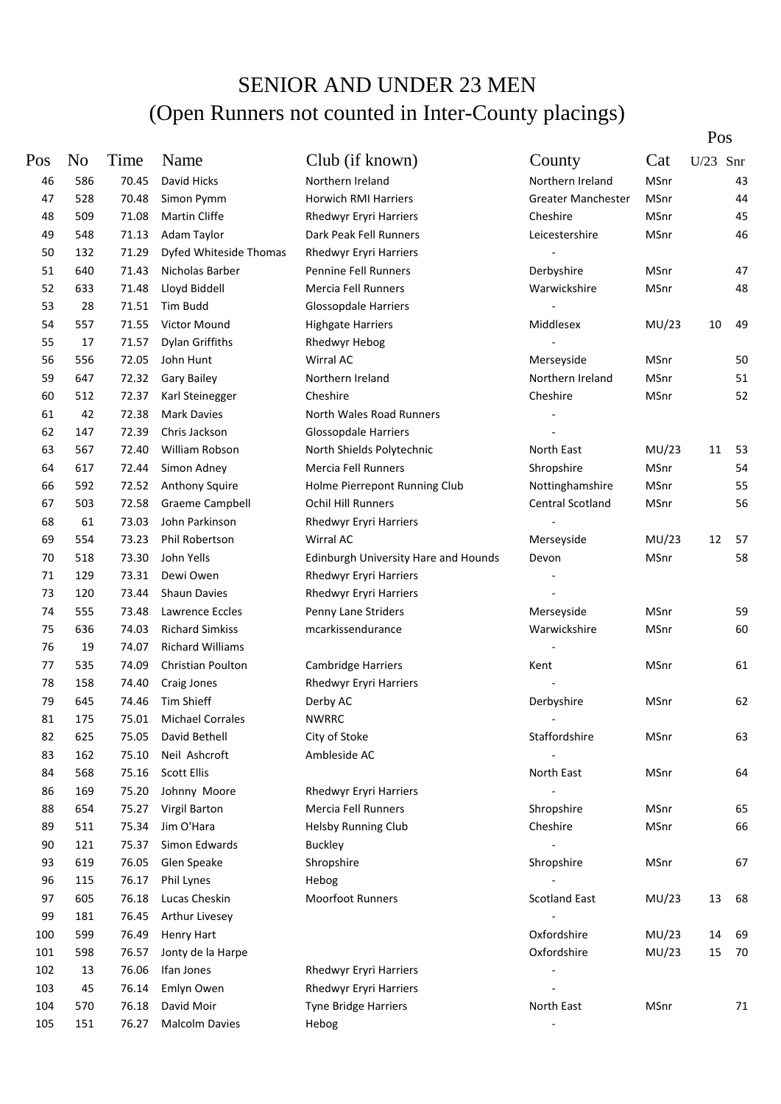Pos

| Pos | N <sub>0</sub> | Time  | Name                    | Club (if known)                             | County               | Cat   | U/23 | Snr |
|-----|----------------|-------|-------------------------|---------------------------------------------|----------------------|-------|------|-----|
| 46  | 586            | 70.45 | David Hicks             | Northern Ireland                            | Northern Ireland     | MSnr  |      | 43  |
| 47  | 528            | 70.48 | Simon Pymm              | <b>Horwich RMI Harriers</b>                 | Greater Manchester   | MSnr  |      | 44  |
| 48  | 509            | 71.08 | Martin Cliffe           | Rhedwyr Eryri Harriers                      | Cheshire             | MSnr  |      | 45  |
| 49  | 548            | 71.13 | Adam Taylor             | Dark Peak Fell Runners                      | Leicestershire       | MSnr  |      | 46  |
| 50  | 132            | 71.29 | Dyfed Whiteside Thomas  | Rhedwyr Eryri Harriers                      |                      |       |      |     |
| 51  | 640            | 71.43 | Nicholas Barber         | Pennine Fell Runners                        | Derbyshire           | MSnr  |      | 47  |
| 52  | 633            | 71.48 | Lloyd Biddell           | Mercia Fell Runners                         | Warwickshire         | MSnr  |      | 48  |
| 53  | 28             | 71.51 | Tim Budd                | <b>Glossopdale Harriers</b>                 |                      |       |      |     |
| 54  | 557            | 71.55 | Victor Mound            | <b>Highgate Harriers</b>                    | Middlesex            | MU/23 | 10   | 49  |
| 55  | 17             | 71.57 | Dylan Griffiths         | <b>Rhedwyr Hebog</b>                        |                      |       |      |     |
| 56  | 556            | 72.05 | John Hunt               | Wirral AC                                   | Merseyside           | MSnr  |      | 50  |
| 59  | 647            | 72.32 | Gary Bailey             | Northern Ireland                            | Northern Ireland     | MSnr  |      | 51  |
| 60  | 512            | 72.37 | Karl Steinegger         | Cheshire                                    | Cheshire             | MSnr  |      | 52  |
| 61  | 42             | 72.38 | <b>Mark Davies</b>      | North Wales Road Runners                    |                      |       |      |     |
| 62  | 147            | 72.39 | Chris Jackson           | <b>Glossopdale Harriers</b>                 |                      |       |      |     |
| 63  | 567            | 72.40 | William Robson          | North Shields Polytechnic                   | North East           | MU/23 | 11   | 53  |
| 64  | 617            | 72.44 | Simon Adney             | Mercia Fell Runners                         | Shropshire           | MSnr  |      | 54  |
| 66  | 592            | 72.52 | Anthony Squire          | Holme Pierrepont Running Club               | Nottinghamshire      | MSnr  |      | 55  |
| 67  | 503            | 72.58 | <b>Graeme Campbell</b>  | <b>Ochil Hill Runners</b>                   | Central Scotland     | MSnr  |      | 56  |
| 68  | 61             | 73.03 | John Parkinson          | Rhedwyr Eryri Harriers                      |                      |       |      |     |
| 69  | 554            | 73.23 | Phil Robertson          | Wirral AC                                   | Merseyside           | MU/23 | 12   | 57  |
| 70  | 518            | 73.30 | John Yells              | <b>Edinburgh University Hare and Hounds</b> | Devon                | MSnr  |      | 58  |
| 71  | 129            | 73.31 | Dewi Owen               | Rhedwyr Eryri Harriers                      |                      |       |      |     |
| 73  | 120            | 73.44 | <b>Shaun Davies</b>     | Rhedwyr Eryri Harriers                      |                      |       |      |     |
| 74  | 555            | 73.48 | Lawrence Eccles         | Penny Lane Striders                         | Merseyside           | MSnr  |      | 59  |
| 75  | 636            | 74.03 | <b>Richard Simkiss</b>  | mcarkissendurance                           | Warwickshire         | MSnr  |      | 60  |
| 76  | 19             | 74.07 | Richard Williams        |                                             |                      |       |      |     |
| 77  | 535            | 74.09 | Christian Poulton       | Cambridge Harriers                          | Kent                 | MSnr  |      | 61  |
| 78  | 158            | 74.40 | Craig Jones             | Rhedwyr Eryri Harriers                      |                      |       |      |     |
| 79  | 645            | 74.46 | Tim Shieff              | Derby AC                                    | Derbyshire           | MSnr  |      | 62  |
| 81  | 175            | 75.01 | <b>Michael Corrales</b> | <b>NWRRC</b>                                |                      |       |      |     |
| 82  | 625            | 75.05 | David Bethell           | City of Stoke                               | Staffordshire        | MSnr  |      | 63  |
| 83  | 162            | 75.10 | Neil Ashcroft           | Ambleside AC                                |                      |       |      |     |
| 84  | 568            | 75.16 | <b>Scott Ellis</b>      |                                             | North East           | MSnr  |      | 64  |
| 86  | 169            | 75.20 | Johnny Moore            | Rhedwyr Eryri Harriers                      |                      |       |      |     |
| 88  | 654            | 75.27 | Virgil Barton           | Mercia Fell Runners                         | Shropshire           | MSnr  |      | 65  |
| 89  | 511            | 75.34 | Jim O'Hara              | <b>Helsby Running Club</b>                  | Cheshire             | MSnr  |      | 66  |
| 90  | 121            | 75.37 | Simon Edwards           | <b>Buckley</b>                              |                      |       |      |     |
| 93  | 619            | 76.05 | Glen Speake             | Shropshire                                  | Shropshire           | MSnr  |      | 67  |
| 96  | 115            | 76.17 | Phil Lynes              | Hebog                                       |                      |       |      |     |
| 97  | 605            | 76.18 | Lucas Cheskin           | Moorfoot Runners                            | <b>Scotland East</b> | MU/23 | 13   | 68  |
| 99  | 181            | 76.45 | Arthur Livesey          |                                             |                      |       |      |     |
| 100 | 599            | 76.49 | <b>Henry Hart</b>       |                                             | Oxfordshire          | MU/23 | 14   | 69  |
| 101 | 598            | 76.57 | Jonty de la Harpe       |                                             | Oxfordshire          | MU/23 | 15   | 70  |
| 102 | 13             | 76.06 | Ifan Jones              | Rhedwyr Eryri Harriers                      |                      |       |      |     |
| 103 | 45             | 76.14 | Emlyn Owen              | Rhedwyr Eryri Harriers                      |                      |       |      |     |
| 104 | 570            | 76.18 | David Moir              | Tyne Bridge Harriers                        | North East           | MSnr  |      | 71  |
| 105 | 151            | 76.27 | <b>Malcolm Davies</b>   | Hebog                                       |                      |       |      |     |
|     |                |       |                         |                                             |                      |       |      |     |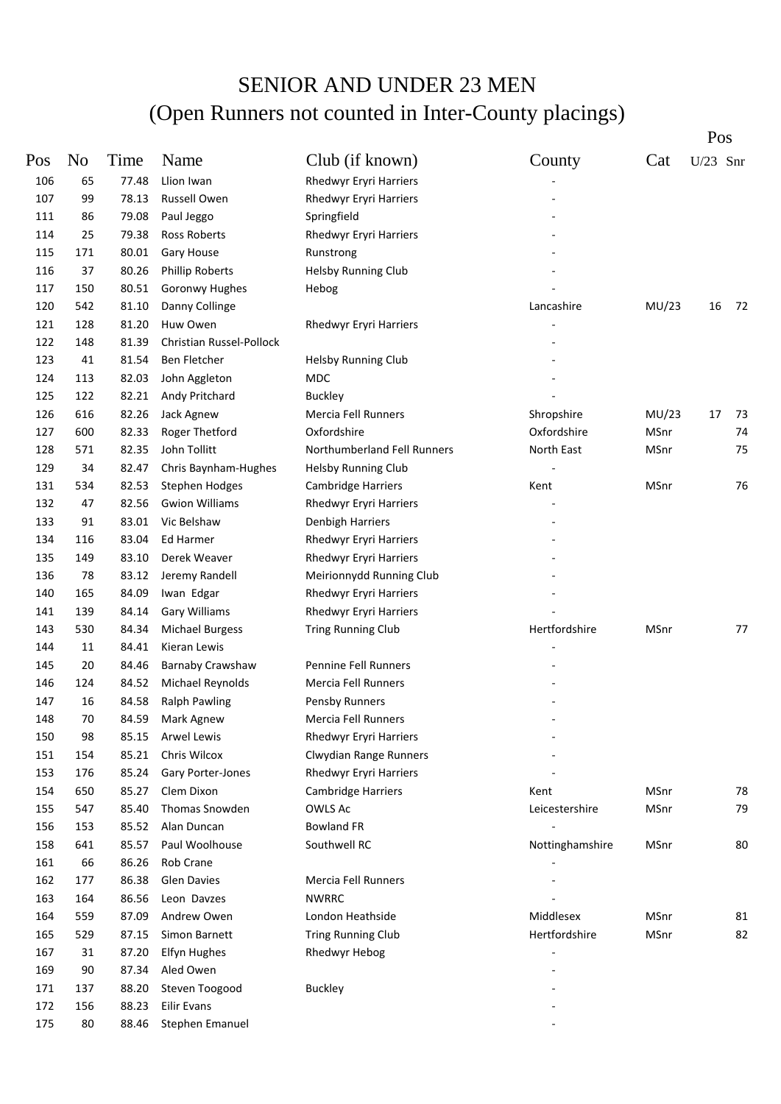|     |        |       |                          |                             |                 |       | Pos        |     |
|-----|--------|-------|--------------------------|-----------------------------|-----------------|-------|------------|-----|
| Pos | No     | Time  | Name                     | Club (if known)             | County          | Cat   | $U/23$ Snr |     |
| 106 | 65     | 77.48 | Llion Iwan               | Rhedwyr Eryri Harriers      |                 |       |            |     |
| 107 | 99     | 78.13 | Russell Owen             | Rhedwyr Eryri Harriers      |                 |       |            |     |
| 111 | 86     | 79.08 | Paul Jeggo               | Springfield                 |                 |       |            |     |
| 114 | 25     | 79.38 | Ross Roberts             | Rhedwyr Eryri Harriers      |                 |       |            |     |
| 115 | 171    | 80.01 | Gary House               | Runstrong                   |                 |       |            |     |
| 116 | 37     | 80.26 | <b>Phillip Roberts</b>   | <b>Helsby Running Club</b>  |                 |       |            |     |
| 117 | 150    | 80.51 | Goronwy Hughes           | Hebog                       |                 |       |            |     |
| 120 | 542    | 81.10 | Danny Collinge           |                             | Lancashire      | MU/23 | 16         | -72 |
| 121 | 128    | 81.20 | Huw Owen                 | Rhedwyr Eryri Harriers      |                 |       |            |     |
| 122 | 148    | 81.39 | Christian Russel-Pollock |                             |                 |       |            |     |
| 123 | 41     | 81.54 | Ben Fletcher             | <b>Helsby Running Club</b>  |                 |       |            |     |
| 124 | 113    | 82.03 | John Aggleton            | <b>MDC</b>                  |                 |       |            |     |
| 125 | 122    | 82.21 | Andy Pritchard           | <b>Buckley</b>              |                 |       |            |     |
| 126 | 616    | 82.26 | Jack Agnew               | <b>Mercia Fell Runners</b>  | Shropshire      | MU/23 | 17         | 73  |
| 127 | 600    | 82.33 | Roger Thetford           | Oxfordshire                 | Oxfordshire     | MSnr  |            | 74  |
| 128 | 571    | 82.35 | John Tollitt             | Northumberland Fell Runners | North East      | MSnr  |            | 75  |
| 129 | 34     | 82.47 | Chris Baynham-Hughes     | <b>Helsby Running Club</b>  |                 |       |            |     |
| 131 | 534    | 82.53 | <b>Stephen Hodges</b>    | Cambridge Harriers          | Kent            | MSnr  |            | 76  |
| 132 | 47     | 82.56 | <b>Gwion Williams</b>    | Rhedwyr Eryri Harriers      |                 |       |            |     |
| 133 | 91     | 83.01 | Vic Belshaw              | Denbigh Harriers            |                 |       |            |     |
| 134 | 116    | 83.04 | Ed Harmer                | Rhedwyr Eryri Harriers      |                 |       |            |     |
| 135 | 149    | 83.10 | Derek Weaver             | Rhedwyr Eryri Harriers      |                 |       |            |     |
| 136 | 78     | 83.12 | Jeremy Randell           | Meirionnydd Running Club    |                 |       |            |     |
| 140 | 165    | 84.09 | Iwan Edgar               | Rhedwyr Eryri Harriers      |                 |       |            |     |
| 141 | 139    | 84.14 | Gary Williams            | Rhedwyr Eryri Harriers      |                 |       |            |     |
| 143 | 530    | 84.34 | <b>Michael Burgess</b>   | <b>Tring Running Club</b>   | Hertfordshire   | MSnr  |            | 77  |
| 144 | 11     | 84.41 | Kieran Lewis             |                             |                 |       |            |     |
| 145 | 20     | 84.46 | Barnaby Crawshaw         | Pennine Fell Runners        |                 |       |            |     |
| 146 | 124    | 84.52 | Michael Reynolds         | Mercia Fell Runners         |                 |       |            |     |
| 147 | 16     | 84.58 | <b>Ralph Pawling</b>     | Pensby Runners              |                 |       |            |     |
| 148 | $70\,$ |       | 84.59 Mark Agnew         | Mercia Fell Runners         |                 |       |            |     |
| 150 | 98     | 85.15 | <b>Arwel Lewis</b>       | Rhedwyr Eryri Harriers      |                 |       |            |     |
| 151 | 154    | 85.21 | Chris Wilcox             | Clwydian Range Runners      |                 |       |            |     |
| 153 | 176    | 85.24 | Gary Porter-Jones        | Rhedwyr Eryri Harriers      |                 |       |            |     |
| 154 | 650    | 85.27 | Clem Dixon               | <b>Cambridge Harriers</b>   | Kent            | MSnr  |            | 78  |
| 155 | 547    | 85.40 | Thomas Snowden           | OWLS Ac                     | Leicestershire  | MSnr  |            | 79  |
| 156 | 153    | 85.52 | Alan Duncan              | <b>Bowland FR</b>           |                 |       |            |     |
| 158 | 641    | 85.57 | Paul Woolhouse           | Southwell RC                | Nottinghamshire | MSnr  |            | 80  |
| 161 | 66     | 86.26 | Rob Crane                |                             |                 |       |            |     |
| 162 | 177    | 86.38 | <b>Glen Davies</b>       | Mercia Fell Runners         |                 |       |            |     |
| 163 | 164    | 86.56 | Leon Davzes              | <b>NWRRC</b>                |                 |       |            |     |
| 164 | 559    | 87.09 | Andrew Owen              | London Heathside            | Middlesex       | MSnr  |            | 81  |
| 165 | 529    | 87.15 | Simon Barnett            | <b>Tring Running Club</b>   | Hertfordshire   | MSnr  |            | 82  |
| 167 | 31     | 87.20 | <b>Elfyn Hughes</b>      | Rhedwyr Hebog               |                 |       |            |     |
| 169 | 90     | 87.34 | Aled Owen                |                             |                 |       |            |     |
| 171 | 137    | 88.20 | Steven Toogood           | <b>Buckley</b>              |                 |       |            |     |
| 172 | 156    | 88.23 | Eilir Evans              |                             |                 |       |            |     |
| 175 | 80     | 88.46 | Stephen Emanuel          |                             |                 |       |            |     |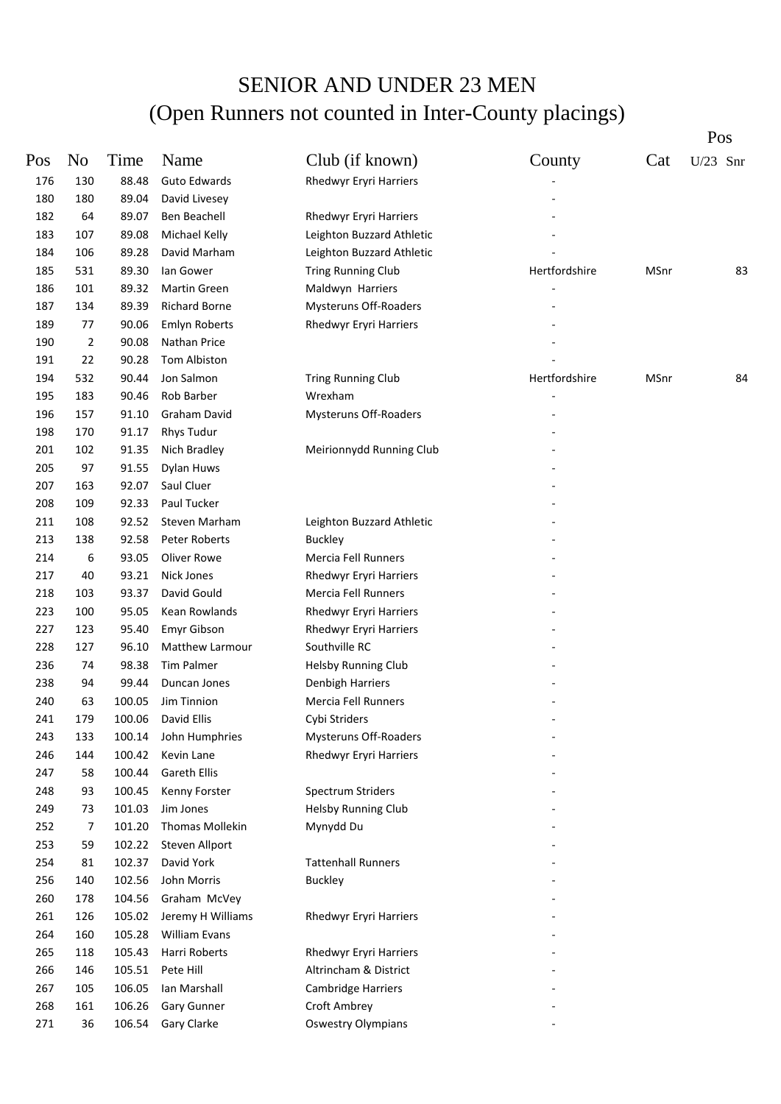|     |                                                                                                |                                                                                                                           |                                                                                                                                                                                                                                                     |                                                                                                                                                                                                                                                                                                                                                                                                                                                                                                                                                                                                                                                  |        | Pos        |
|-----|------------------------------------------------------------------------------------------------|---------------------------------------------------------------------------------------------------------------------------|-----------------------------------------------------------------------------------------------------------------------------------------------------------------------------------------------------------------------------------------------------|--------------------------------------------------------------------------------------------------------------------------------------------------------------------------------------------------------------------------------------------------------------------------------------------------------------------------------------------------------------------------------------------------------------------------------------------------------------------------------------------------------------------------------------------------------------------------------------------------------------------------------------------------|--------|------------|
|     |                                                                                                |                                                                                                                           |                                                                                                                                                                                                                                                     |                                                                                                                                                                                                                                                                                                                                                                                                                                                                                                                                                                                                                                                  |        | $U/23$ Snr |
|     |                                                                                                |                                                                                                                           |                                                                                                                                                                                                                                                     |                                                                                                                                                                                                                                                                                                                                                                                                                                                                                                                                                                                                                                                  |        |            |
|     |                                                                                                |                                                                                                                           |                                                                                                                                                                                                                                                     |                                                                                                                                                                                                                                                                                                                                                                                                                                                                                                                                                                                                                                                  |        |            |
| 64  |                                                                                                |                                                                                                                           |                                                                                                                                                                                                                                                     |                                                                                                                                                                                                                                                                                                                                                                                                                                                                                                                                                                                                                                                  |        |            |
| 107 | 89.08                                                                                          |                                                                                                                           |                                                                                                                                                                                                                                                     |                                                                                                                                                                                                                                                                                                                                                                                                                                                                                                                                                                                                                                                  |        |            |
| 106 |                                                                                                | David Marham                                                                                                              |                                                                                                                                                                                                                                                     |                                                                                                                                                                                                                                                                                                                                                                                                                                                                                                                                                                                                                                                  |        |            |
| 531 | 89.30                                                                                          | lan Gower                                                                                                                 |                                                                                                                                                                                                                                                     | Hertfordshire                                                                                                                                                                                                                                                                                                                                                                                                                                                                                                                                                                                                                                    | MSnr   | 83         |
| 101 | 89.32                                                                                          | Martin Green                                                                                                              |                                                                                                                                                                                                                                                     |                                                                                                                                                                                                                                                                                                                                                                                                                                                                                                                                                                                                                                                  |        |            |
| 134 | 89.39                                                                                          | <b>Richard Borne</b>                                                                                                      |                                                                                                                                                                                                                                                     |                                                                                                                                                                                                                                                                                                                                                                                                                                                                                                                                                                                                                                                  |        |            |
| 77  | 90.06                                                                                          | <b>Emlyn Roberts</b>                                                                                                      | <b>Rhedwyr Eryri Harriers</b>                                                                                                                                                                                                                       |                                                                                                                                                                                                                                                                                                                                                                                                                                                                                                                                                                                                                                                  |        |            |
| 2   | 90.08                                                                                          | Nathan Price                                                                                                              |                                                                                                                                                                                                                                                     |                                                                                                                                                                                                                                                                                                                                                                                                                                                                                                                                                                                                                                                  |        |            |
| 22  | 90.28                                                                                          | Tom Albiston                                                                                                              |                                                                                                                                                                                                                                                     |                                                                                                                                                                                                                                                                                                                                                                                                                                                                                                                                                                                                                                                  |        |            |
| 532 | 90.44                                                                                          | Jon Salmon                                                                                                                |                                                                                                                                                                                                                                                     | Hertfordshire                                                                                                                                                                                                                                                                                                                                                                                                                                                                                                                                                                                                                                    | MSnr   | 84         |
| 183 | 90.46                                                                                          |                                                                                                                           | Wrexham                                                                                                                                                                                                                                             |                                                                                                                                                                                                                                                                                                                                                                                                                                                                                                                                                                                                                                                  |        |            |
| 157 |                                                                                                | <b>Graham David</b>                                                                                                       |                                                                                                                                                                                                                                                     |                                                                                                                                                                                                                                                                                                                                                                                                                                                                                                                                                                                                                                                  |        |            |
|     |                                                                                                |                                                                                                                           |                                                                                                                                                                                                                                                     |                                                                                                                                                                                                                                                                                                                                                                                                                                                                                                                                                                                                                                                  |        |            |
|     |                                                                                                |                                                                                                                           |                                                                                                                                                                                                                                                     |                                                                                                                                                                                                                                                                                                                                                                                                                                                                                                                                                                                                                                                  |        |            |
|     |                                                                                                | Dylan Huws                                                                                                                |                                                                                                                                                                                                                                                     |                                                                                                                                                                                                                                                                                                                                                                                                                                                                                                                                                                                                                                                  |        |            |
| 163 |                                                                                                |                                                                                                                           |                                                                                                                                                                                                                                                     |                                                                                                                                                                                                                                                                                                                                                                                                                                                                                                                                                                                                                                                  |        |            |
|     |                                                                                                | Paul Tucker                                                                                                               |                                                                                                                                                                                                                                                     |                                                                                                                                                                                                                                                                                                                                                                                                                                                                                                                                                                                                                                                  |        |            |
|     | 92.52                                                                                          |                                                                                                                           |                                                                                                                                                                                                                                                     |                                                                                                                                                                                                                                                                                                                                                                                                                                                                                                                                                                                                                                                  |        |            |
|     | 92.58                                                                                          | <b>Peter Roberts</b>                                                                                                      |                                                                                                                                                                                                                                                     |                                                                                                                                                                                                                                                                                                                                                                                                                                                                                                                                                                                                                                                  |        |            |
|     | 93.05                                                                                          | Oliver Rowe                                                                                                               |                                                                                                                                                                                                                                                     |                                                                                                                                                                                                                                                                                                                                                                                                                                                                                                                                                                                                                                                  |        |            |
| 40  |                                                                                                | Nick Jones                                                                                                                |                                                                                                                                                                                                                                                     |                                                                                                                                                                                                                                                                                                                                                                                                                                                                                                                                                                                                                                                  |        |            |
| 103 | 93.37                                                                                          |                                                                                                                           |                                                                                                                                                                                                                                                     |                                                                                                                                                                                                                                                                                                                                                                                                                                                                                                                                                                                                                                                  |        |            |
| 100 | 95.05                                                                                          |                                                                                                                           |                                                                                                                                                                                                                                                     |                                                                                                                                                                                                                                                                                                                                                                                                                                                                                                                                                                                                                                                  |        |            |
|     |                                                                                                |                                                                                                                           |                                                                                                                                                                                                                                                     |                                                                                                                                                                                                                                                                                                                                                                                                                                                                                                                                                                                                                                                  |        |            |
|     | 96.10                                                                                          |                                                                                                                           |                                                                                                                                                                                                                                                     |                                                                                                                                                                                                                                                                                                                                                                                                                                                                                                                                                                                                                                                  |        |            |
| 74  |                                                                                                | Tim Palmer                                                                                                                |                                                                                                                                                                                                                                                     |                                                                                                                                                                                                                                                                                                                                                                                                                                                                                                                                                                                                                                                  |        |            |
| 94  | 99.44                                                                                          | Duncan Jones                                                                                                              |                                                                                                                                                                                                                                                     |                                                                                                                                                                                                                                                                                                                                                                                                                                                                                                                                                                                                                                                  |        |            |
| 63  | 100.05                                                                                         | Jim Tinnion                                                                                                               |                                                                                                                                                                                                                                                     |                                                                                                                                                                                                                                                                                                                                                                                                                                                                                                                                                                                                                                                  |        |            |
| 179 | 100.06                                                                                         | David Ellis                                                                                                               |                                                                                                                                                                                                                                                     |                                                                                                                                                                                                                                                                                                                                                                                                                                                                                                                                                                                                                                                  |        |            |
| 133 | 100.14                                                                                         |                                                                                                                           |                                                                                                                                                                                                                                                     |                                                                                                                                                                                                                                                                                                                                                                                                                                                                                                                                                                                                                                                  |        |            |
| 144 | 100.42                                                                                         | Kevin Lane                                                                                                                |                                                                                                                                                                                                                                                     |                                                                                                                                                                                                                                                                                                                                                                                                                                                                                                                                                                                                                                                  |        |            |
|     | 100.44                                                                                         | Gareth Ellis                                                                                                              |                                                                                                                                                                                                                                                     |                                                                                                                                                                                                                                                                                                                                                                                                                                                                                                                                                                                                                                                  |        |            |
| 93  | 100.45                                                                                         | Kenny Forster                                                                                                             | <b>Spectrum Striders</b>                                                                                                                                                                                                                            |                                                                                                                                                                                                                                                                                                                                                                                                                                                                                                                                                                                                                                                  |        |            |
| 73  | 101.03                                                                                         | Jim Jones                                                                                                                 | <b>Helsby Running Club</b>                                                                                                                                                                                                                          |                                                                                                                                                                                                                                                                                                                                                                                                                                                                                                                                                                                                                                                  |        |            |
| 7   | 101.20                                                                                         | Thomas Mollekin                                                                                                           | Mynydd Du                                                                                                                                                                                                                                           |                                                                                                                                                                                                                                                                                                                                                                                                                                                                                                                                                                                                                                                  |        |            |
| 59  | 102.22                                                                                         | Steven Allport                                                                                                            |                                                                                                                                                                                                                                                     |                                                                                                                                                                                                                                                                                                                                                                                                                                                                                                                                                                                                                                                  |        |            |
| 81  | 102.37                                                                                         | David York                                                                                                                | <b>Tattenhall Runners</b>                                                                                                                                                                                                                           |                                                                                                                                                                                                                                                                                                                                                                                                                                                                                                                                                                                                                                                  |        |            |
| 140 | 102.56                                                                                         | John Morris                                                                                                               | <b>Buckley</b>                                                                                                                                                                                                                                      |                                                                                                                                                                                                                                                                                                                                                                                                                                                                                                                                                                                                                                                  |        |            |
| 178 | 104.56                                                                                         | Graham McVey                                                                                                              |                                                                                                                                                                                                                                                     |                                                                                                                                                                                                                                                                                                                                                                                                                                                                                                                                                                                                                                                  |        |            |
| 126 | 105.02                                                                                         | Jeremy H Williams                                                                                                         | <b>Rhedwyr Eryri Harriers</b>                                                                                                                                                                                                                       |                                                                                                                                                                                                                                                                                                                                                                                                                                                                                                                                                                                                                                                  |        |            |
| 160 | 105.28                                                                                         | William Evans                                                                                                             |                                                                                                                                                                                                                                                     |                                                                                                                                                                                                                                                                                                                                                                                                                                                                                                                                                                                                                                                  |        |            |
| 118 | 105.43                                                                                         | Harri Roberts                                                                                                             | <b>Rhedwyr Eryri Harriers</b>                                                                                                                                                                                                                       |                                                                                                                                                                                                                                                                                                                                                                                                                                                                                                                                                                                                                                                  |        |            |
| 146 | 105.51                                                                                         | Pete Hill                                                                                                                 | Altrincham & District                                                                                                                                                                                                                               |                                                                                                                                                                                                                                                                                                                                                                                                                                                                                                                                                                                                                                                  |        |            |
| 105 | 106.05                                                                                         | Ian Marshall                                                                                                              | Cambridge Harriers                                                                                                                                                                                                                                  |                                                                                                                                                                                                                                                                                                                                                                                                                                                                                                                                                                                                                                                  |        |            |
| 161 | 106.26                                                                                         | <b>Gary Gunner</b>                                                                                                        | Croft Ambrey                                                                                                                                                                                                                                        |                                                                                                                                                                                                                                                                                                                                                                                                                                                                                                                                                                                                                                                  |        |            |
| 36  | 106.54                                                                                         | Gary Clarke                                                                                                               | <b>Oswestry Olympians</b>                                                                                                                                                                                                                           |                                                                                                                                                                                                                                                                                                                                                                                                                                                                                                                                                                                                                                                  |        |            |
|     | N <sub>0</sub><br>130<br>180<br>170<br>102<br>97<br>109<br>108<br>138<br>6<br>123<br>127<br>58 | Time<br>88.48<br>89.04<br>89.07<br>89.28<br>91.10<br>91.17<br>91.35<br>91.55<br>92.07<br>92.33<br>93.21<br>95.40<br>98.38 | Name<br><b>Guto Edwards</b><br>David Livesey<br>Ben Beachell<br>Michael Kelly<br>Rob Barber<br><b>Rhys Tudur</b><br>Nich Bradley<br>Saul Cluer<br>Steven Marham<br>David Gould<br>Kean Rowlands<br>Emyr Gibson<br>Matthew Larmour<br>John Humphries | Club (if known)<br><b>Rhedwyr Eryri Harriers</b><br>Rhedwyr Eryri Harriers<br>Leighton Buzzard Athletic<br>Leighton Buzzard Athletic<br>Tring Running Club<br>Maldwyn Harriers<br>Mysteruns Off-Roaders<br><b>Tring Running Club</b><br><b>Mysteruns Off-Roaders</b><br>Meirionnydd Running Club<br>Leighton Buzzard Athletic<br>Buckley<br>Mercia Fell Runners<br>Rhedwyr Eryri Harriers<br>Mercia Fell Runners<br>Rhedwyr Eryri Harriers<br><b>Rhedwyr Eryri Harriers</b><br>Southville RC<br><b>Helsby Running Club</b><br>Denbigh Harriers<br>Mercia Fell Runners<br>Cybi Striders<br><b>Mysteruns Off-Roaders</b><br>Rhedwyr Eryri Harriers | County | Cat        |